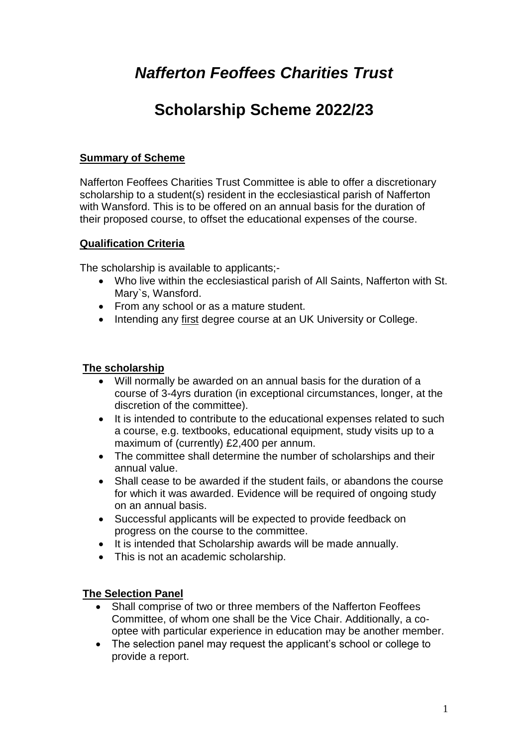# *Nafferton Feoffees Charities Trust*

## **Scholarship Scheme 2022/23**

### **Summary of Scheme**

Nafferton Feoffees Charities Trust Committee is able to offer a discretionary scholarship to a student(s) resident in the ecclesiastical parish of Nafferton with Wansford. This is to be offered on an annual basis for the duration of their proposed course, to offset the educational expenses of the course.

#### **Qualification Criteria**

The scholarship is available to applicants;-

- Who live within the ecclesiastical parish of All Saints, Nafferton with St. Mary`s, Wansford.
- From any school or as a mature student.
- Intending any first degree course at an UK University or College.

#### **The scholarship**

- Will normally be awarded on an annual basis for the duration of a course of 3-4yrs duration (in exceptional circumstances, longer, at the discretion of the committee).
- It is intended to contribute to the educational expenses related to such a course, e.g. textbooks, educational equipment, study visits up to a maximum of (currently) £2,400 per annum.
- The committee shall determine the number of scholarships and their annual value.
- Shall cease to be awarded if the student fails, or abandons the course for which it was awarded. Evidence will be required of ongoing study on an annual basis.
- Successful applicants will be expected to provide feedback on progress on the course to the committee.
- It is intended that Scholarship awards will be made annually.
- This is not an academic scholarship.

#### **The Selection Panel**

- Shall comprise of two or three members of the Nafferton Feoffees Committee, of whom one shall be the Vice Chair. Additionally, a cooptee with particular experience in education may be another member.
- The selection panel may request the applicant's school or college to provide a report.